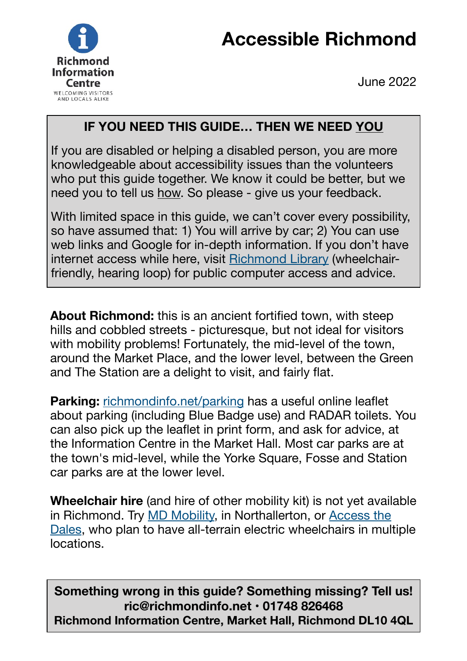## **Accessible Richmond**



June 2022

## **IF YOU NEED THIS GUIDE… THEN WE NEED YOU**

If you are disabled or helping a disabled person, you are more knowledgeable about accessibility issues than the volunteers who put this guide together. We know it could be better, but we need you to tell us how. So please - give us your feedback.

With limited space in this guide, we can't cover every possibility, so have assumed that: 1) You will arrive by car; 2) You can use web links and Google for in-depth information. If you don't have internet access while here, visit [Richmond Library](https://www.craccl.org/Our-Libraries/Richmond-Library) (wheelchairfriendly, hearing loop) for public computer access and advice.

**About Richmond:** this is an ancient fortified town, with steep hills and cobbled streets - picturesque, but not ideal for visitors with mobility problems! Fortunately, the mid-level of the town, around the Market Place, and the lower level, between the Green and The Station are a delight to visit, and fairly flat.

**Parking:** [richmondinfo.net/parking](https://www.richmondinfo.net/parking) has a useful online leaflet about parking (including Blue Badge use) and RADAR toilets. You can also pick up the leaflet in print form, and ask for advice, at the Information Centre in the Market Hall. Most car parks are at the town's mid-level, while the Yorke Square, Fosse and Station car parks are at the lower level.

**Wheelchair hire** (and hire of other mobility kit) is not yet available in Richmond. Try [MD Mobility,](https://www.mdmobility.co.uk) in Northallerton, or [Access the](https://www.access-the-dales.com)  [Dales](https://www.access-the-dales.com), who plan to have all-terrain electric wheelchairs in multiple locations.

**Something wrong in this guide? Something missing? Tell us! ric@richmondinfo.net • 01748 826468 Richmond Information Centre, Market Hall, Richmond DL10 4QL**